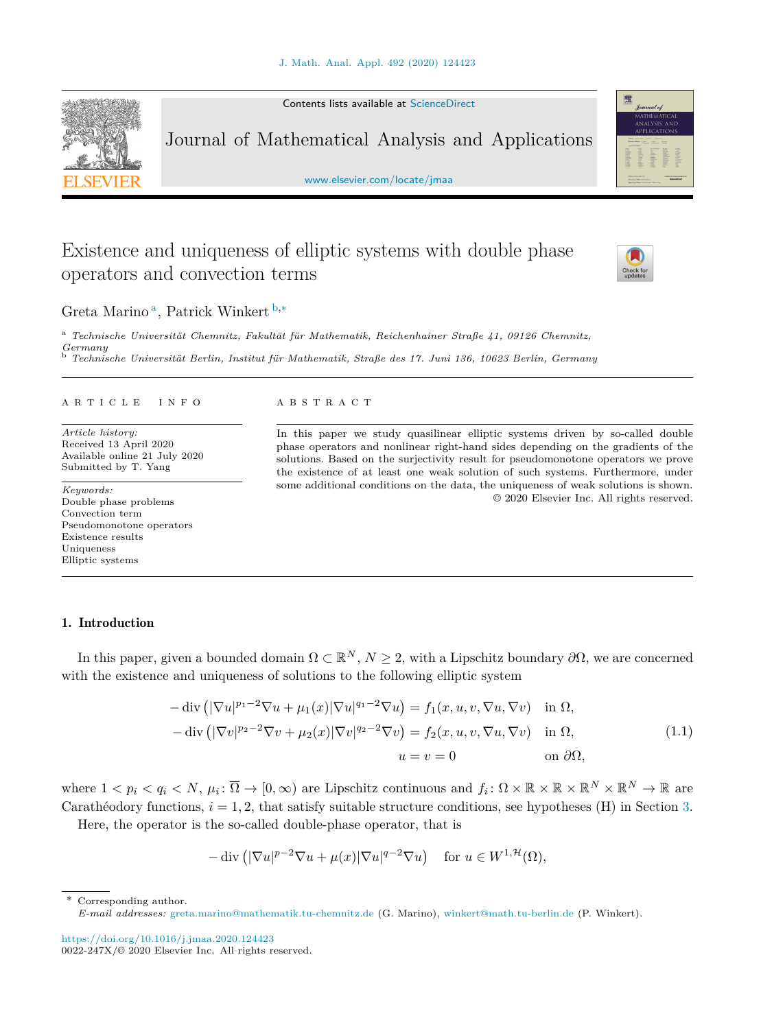Contents lists available at [ScienceDirect](http://www.ScienceDirect.com/)

Journal of Mathematical Analysis and Applications

[www.elsevier.com/locate/jmaa](http://www.elsevier.com/locate/jmaa)

# Existence and uniqueness of elliptic systems with double phase operators and convection terms

Greta Marino<sup>a</sup>, Patrick Winkert b<sup>,\*</sup>

<sup>a</sup> *Technische Universität Chemnitz, Fakultät für Mathematik, Reichenhainer Straße 41, 09126 Chemnitz, Germany* <sup>b</sup> *Technische Universität Berlin, Institut für Mathematik, Straße des 17. Juni 136, 10623 Berlin, Germany*

#### A R T I C L E I N F O A B S T R A C T

*Article history:* Received 13 April 2020 Available online 21 July 2020 Submitted by T. Yang

*Keywords:* Double phase problems Convection term Pseudomonotone operators Existence results Uniqueness Elliptic systems

## 1. Introduction

In this paper, given a bounded domain  $\Omega \subset \mathbb{R}^N$ ,  $N \geq 2$ , with a Lipschitz boundary  $\partial \Omega$ , we are concerned with the existence and uniqueness of solutions to the following elliptic system

$$
-\operatorname{div}\left(|\nabla u|^{p_1-2}\nabla u + \mu_1(x)|\nabla u|^{q_1-2}\nabla u\right) = f_1(x, u, v, \nabla u, \nabla v) \quad \text{in } \Omega,
$$
  

$$
-\operatorname{div}\left(|\nabla v|^{p_2-2}\nabla v + \mu_2(x)|\nabla v|^{q_2-2}\nabla v\right) = f_2(x, u, v, \nabla u, \nabla v) \quad \text{in } \Omega,
$$
  

$$
u = v = 0 \qquad \text{on } \partial\Omega,
$$
 (1.1)

where  $1 \lt p_i \lt q_i \lt N$ ,  $\mu_i: \overline{\Omega} \to [0, \infty)$  are Lipschitz continuous and  $f_i: \Omega \times \mathbb{R} \times \mathbb{R} \times \mathbb{R}^N \times \mathbb{R}^N \to \mathbb{R}$  are Carathéodory functions,  $i = 1, 2$ , that satisfy suitable structure conditions, see hypotheses (H) in Section [3](#page-4-0).

Here, the operator is the so-called double-phase operator, that is

$$
-\operatorname{div}\left( |\nabla u|^{p-2} \nabla u + \mu(x) |\nabla u|^{q-2} \nabla u \right) \quad \text{for } u \in W^{1, \mathcal{H}}(\Omega),
$$

Corresponding author.

<https://doi.org/10.1016/j.jmaa.2020.124423>  $0022 - 247X/© 2020$  Elsevier Inc. All rights reserved.

<span id="page-0-0"></span>





In this paper we study quasilinear elliptic systems driven by so-called double phase operators and nonlinear right-hand sides depending on the gradients of the solutions. Based on the surjectivity result for pseudomonotone operators we prove the existence of at least one weak solution of such systems. Furthermore, under some additional conditions on the data, the uniqueness of weak solutions is shown. © 2020 Elsevier Inc. All rights reserved.

*E-mail addresses:* [greta.marino@mathematik.tu-chemnitz.de](mailto:greta.marino@mathematik.tu-chemnitz.de) (G. Marino), [winkert@math.tu-berlin.de](mailto:winkert@math.tu-berlin.de) (P. Winkert).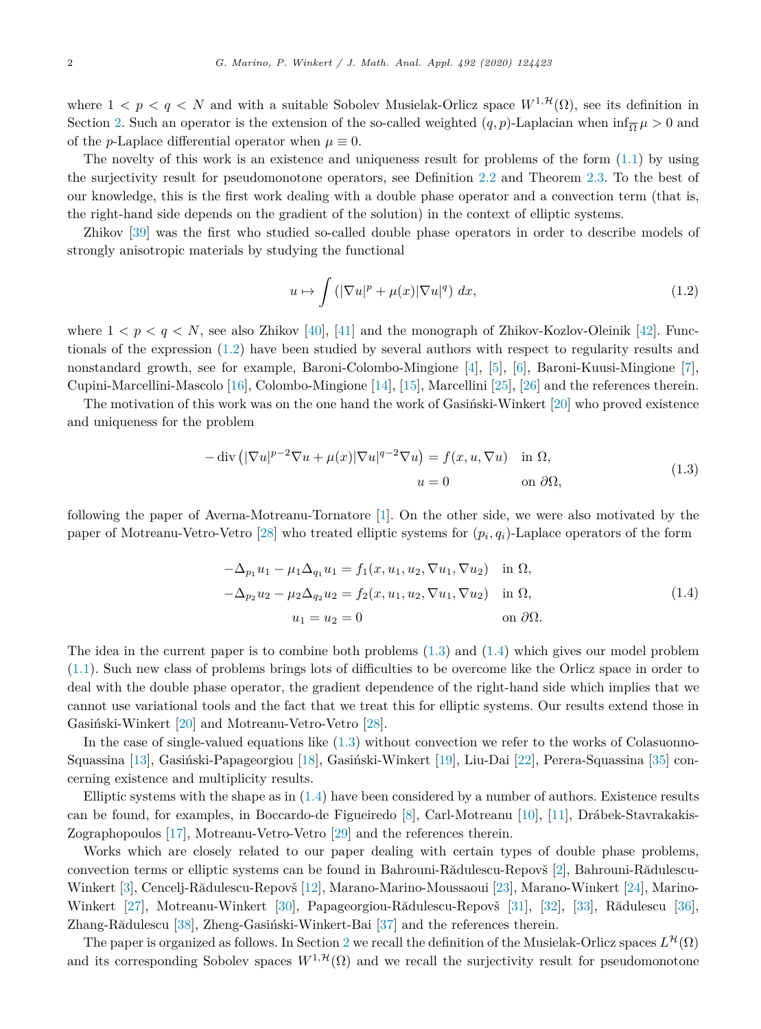where  $1 < p < q < N$  and with a suitable Sobolev Musielak-Orlicz space  $W^{1, \mathcal{H}}(\Omega)$ , see its definition in Section [2](#page-2-0). Such an operator is the extension of the so-called weighted  $(q, p)$ -Laplacian when  $\inf_{\overline{Q}} \mu > 0$  and of the *p*-Laplace differential operator when  $\mu \equiv 0$ .

The novelty of this work is an existence and uniqueness result for problems of the form ([1.1\)](#page-0-0) by using the surjectivity result for pseudomonotone operators, see Definition [2.2](#page-4-0) and Theorem [2.3](#page-4-0). To the best of our knowledge, this is the first work dealing with a double phase operator and a convection term (that is, the right-hand side depends on the gradient of the solution) in the context of elliptic systems.

Zhikov [\[39\]](#page-12-0) was the first who studied so-called double phase operators in order to describe models of strongly anisotropic materials by studying the functional

$$
u \mapsto \int \left( |\nabla u|^p + \mu(x) |\nabla u|^q \right) dx, \tag{1.2}
$$

where  $1 < p < q < N$ , see also Zhikov [[40\]](#page-12-0), [[41\]](#page-12-0) and the monograph of Zhikov-Kozlov-Oleinik [\[42\]](#page-12-0). Functionals of the expression (1.2) have been studied by several authors with respect to regularity results and nonstandard growth, see for example, Baroni-Colombo-Mingione [\[4](#page-11-0)], [[5\]](#page-11-0), [[6\]](#page-11-0), Baroni-Kuusi-Mingione [[7\]](#page-11-0), Cupini-Marcellini-Mascolo [[16\]](#page-12-0), Colombo-Mingione [\[14](#page-12-0)], [\[15](#page-12-0)], Marcellini [\[25\]](#page-12-0), [[26\]](#page-12-0) and the references therein.

The motivation of this work was on the one hand the work of Gasiński-Winkert [\[20](#page-12-0)] who proved existence and uniqueness for the problem

$$
-\operatorname{div}\left(|\nabla u|^{p-2}\nabla u + \mu(x)|\nabla u|^{q-2}\nabla u\right) = f(x, u, \nabla u) \quad \text{in } \Omega,
$$
  
\n
$$
u = 0 \qquad \text{on } \partial\Omega,
$$
\n(1.3)

following the paper of Averna-Motreanu-Tornatore [[1\]](#page-11-0). On the other side, we were also motivated by the paper of Motreanu-Vetro-Vetro [\[28\]](#page-12-0) who treated elliptic systems for  $(p_i, q_i)$ -Laplace operators of the form

$$
-\Delta_{p_1} u_1 - \mu_1 \Delta_{q_1} u_1 = f_1(x, u_1, u_2, \nabla u_1, \nabla u_2) \text{ in } \Omega,
$$
  
\n
$$
-\Delta_{p_2} u_2 - \mu_2 \Delta_{q_2} u_2 = f_2(x, u_1, u_2, \nabla u_1, \nabla u_2) \text{ in } \Omega,
$$
  
\n
$$
u_1 = u_2 = 0 \text{ on } \partial \Omega.
$$
\n(1.4)

The idea in the current paper is to combine both problems (1.3) and (1.4) which gives our model problem [\(1.1\)](#page-0-0). Such new class of problems brings lots of difficulties to be overcome like the Orlicz space in order to deal with the double phase operator, the gradient dependence of the right-hand side which implies that we cannot use variational tools and the fact that we treat this for elliptic systems. Our results extend those in Gasiński-Winkert [\[20\]](#page-12-0) and Motreanu-Vetro-Vetro [\[28\]](#page-12-0).

In the case of single-valued equations like  $(1.3)$  without convection we refer to the works of Colasuonno-Squassina [[13\]](#page-12-0), Gasiński-Papageorgiou [\[18](#page-12-0)], Gasiński-Winkert [\[19](#page-12-0)], Liu-Dai [[22\]](#page-12-0), Perera-Squassina [[35\]](#page-12-0) concerning existence and multiplicity results.

Elliptic systems with the shape as in  $(1.4)$  have been considered by a number of authors. Existence results can be found, for examples, in Boccardo-de Figueiredo [[8\]](#page-11-0), Carl-Motreanu [\[10](#page-11-0)], [\[11\]](#page-11-0), Drábek-Stavrakakis-Zographopoulos [\[17\]](#page-12-0), Motreanu-Vetro-Vetro [\[29](#page-12-0)] and the references therein.

Works which are closely related to our paper dealing with certain types of double phase problems, convection terms or elliptic systems can be found in Bahrouni-Rădulescu-Repovš [[2\]](#page-11-0), Bahrouni-Rădulescu-Winkert [\[3\]](#page-11-0), Cencelj-Rădulescu-Repovš [\[12](#page-11-0)], Marano-Marino-Moussaoui [[23\]](#page-12-0), Marano-Winkert [\[24](#page-12-0)], Marino-Winkert [[27\]](#page-12-0), Motreanu-Winkert [\[30](#page-12-0)], Papageorgiou-Rădulescu-Repovš [[31\]](#page-12-0), [[32\]](#page-12-0), [\[33](#page-12-0)], Rădulescu [[36\]](#page-12-0), Zhang-Rădulescu [\[38](#page-12-0)], Zheng-Gasiński-Winkert-Bai [[37\]](#page-12-0) and the references therein.

The paper is organized as follows. In Section [2](#page-2-0) we recall the definition of the Musielak-Orlicz spaces  $L^{\mathcal{H}}(\Omega)$ and its corresponding Sobolev spaces  $W^{1, \mathcal{H}}(\Omega)$  and we recall the surjectivity result for pseudomonotone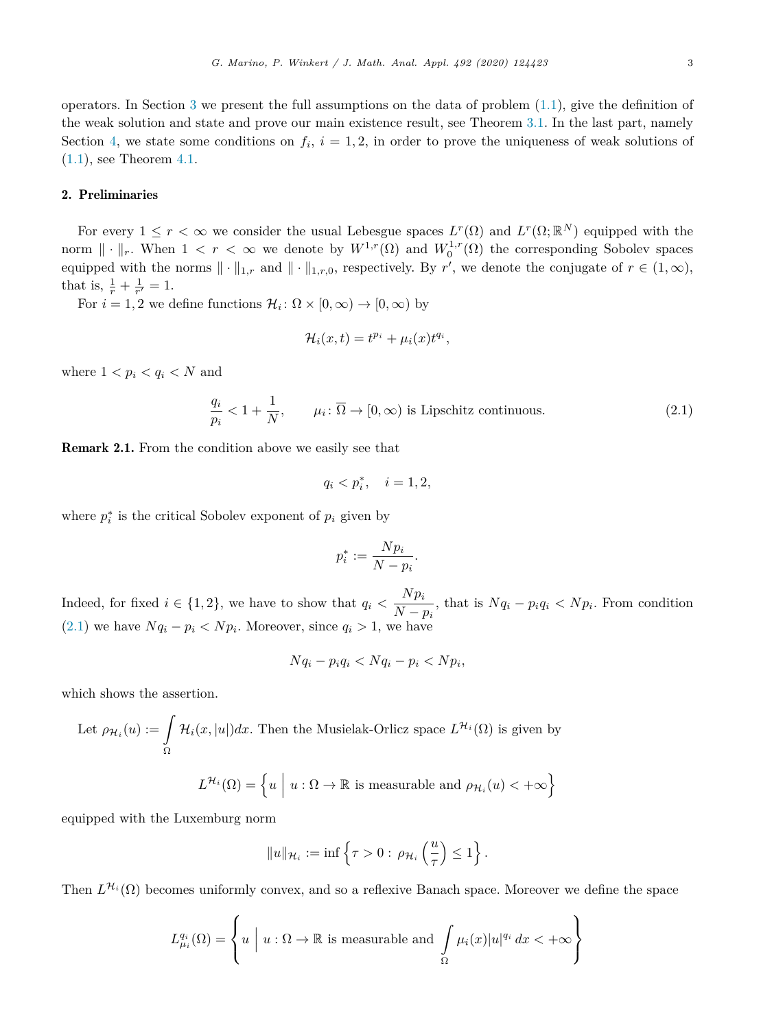<span id="page-2-0"></span>operators. In Section [3](#page-4-0) we present the full assumptions on the data of problem  $(1.1)$  $(1.1)$ , give the definition of the weak solution and state and prove our main existence result, see Theorem [3.1](#page-6-0). In the last part, namely Section [4](#page-9-0), we state some conditions on  $f_i$ ,  $i = 1, 2$ , in order to prove the uniqueness of weak solutions of  $(1.1)$  $(1.1)$ , see Theorem [4.1.](#page-10-0)

## 2. Preliminaries

For every  $1 \leq r < \infty$  we consider the usual Lebesgue spaces  $L^r(\Omega)$  and  $L^r(\Omega;\mathbb{R}^N)$  equipped with the norm  $\|\cdot\|_r$ . When  $1 < r < \infty$  we denote by  $W^{1,r}(\Omega)$  and  $W_0^{1,r}(\Omega)$  the corresponding Sobolev spaces equipped with the norms  $\|\cdot\|_{1,r}$  and  $\|\cdot\|_{1,r,0}$ , respectively. By r', we denote the conjugate of  $r \in (1,\infty)$ , that is,  $\frac{1}{r} + \frac{1}{r'} = 1$ .

For  $i = 1, 2$  we define functions  $\mathcal{H}_i : \Omega \times [0, \infty) \to [0, \infty)$  by

$$
\mathcal{H}_i(x,t) = t^{p_i} + \mu_i(x)t^{q_i},
$$

where  $1 < p_i < q_i < N$  and

$$
\frac{q_i}{p_i} < 1 + \frac{1}{N}, \qquad \mu_i \colon \overline{\Omega} \to [0, \infty) \text{ is Lipschitz continuous.} \tag{2.1}
$$

Remark 2.1. From the condition above we easily see that

$$
q_i < p_i^*, \quad i = 1, 2,
$$

where  $p_i^*$  is the critical Sobolev exponent of  $p_i$  given by

$$
p_i^* := \frac{N p_i}{N - p_i}.
$$

Indeed, for fixed  $i \in \{1,2\}$ , we have to show that  $q_i < \frac{Np_i}{N-p_i}$ , that is  $Nq_i - p_iq_i < Np_i$ . From condition (2.1) we have  $Nq_i - p_i < Np_i$ . Moreover, since  $q_i > 1$ , we have

$$
Nq_i - p_iq_i < Nq_i - p_i < Np_i
$$

which shows the assertion.

Let 
$$
\rho_{\mathcal{H}_i}(u) := \int_{\Omega} \mathcal{H}_i(x, |u|) dx
$$
. Then the Musielak-Orlicz space  $L^{\mathcal{H}_i}(\Omega)$  is given by

$$
L^{\mathcal{H}_i}(\Omega) = \left\{ u \mid u : \Omega \to \mathbb{R} \text{ is measurable and } \rho_{\mathcal{H}_i}(u) < +\infty \right\}
$$

equipped with the Luxemburg norm

$$
||u||_{\mathcal{H}_i} := \inf \left\{ \tau > 0: \, \rho_{\mathcal{H}_i} \left( \frac{u}{\tau} \right) \leq 1 \right\}.
$$

Then  $L^{\mathcal{H}_i}(\Omega)$  becomes uniformly convex, and so a reflexive Banach space. Moreover we define the space

$$
L_{\mu_i}^{q_i}(\Omega) = \left\{ u \mid u : \Omega \to \mathbb{R} \text{ is measurable and } \int_{\Omega} \mu_i(x) |u|^{q_i} dx < +\infty \right\}
$$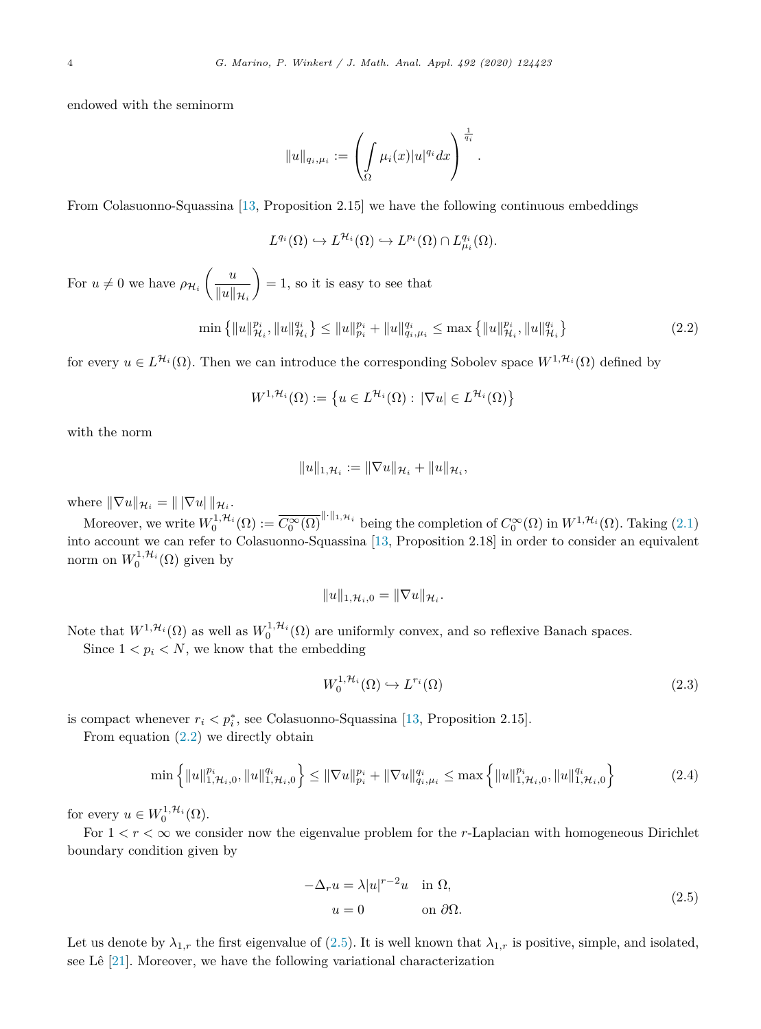<span id="page-3-0"></span>endowed with the seminorm

$$
||u||_{q_i,\mu_i} := \left(\int_{\Omega} \mu_i(x)|u|^{q_i} dx\right)^{\frac{1}{q_i}}.
$$

From Colasuonno-Squassina [\[13](#page-12-0), Proposition 2.15] we have the following continuous embeddings

$$
L^{q_i}(\Omega) \hookrightarrow L^{\mathcal{H}_i}(\Omega) \hookrightarrow L^{p_i}(\Omega) \cap L^{q_i}_{\mu_i}(\Omega).
$$

For  $u \neq 0$  we have  $\rho_{\mathcal{H}_i} \left( \frac{u}{\|u\|}\right)$  $||u||_{\mathcal{H}_i}$  $= 1$ , so it is easy to see that

$$
\min\left\{\|u\|_{\mathcal{H}_i}^{p_i},\|u\|_{\mathcal{H}_i}^{q_i}\right\} \le \|u\|_{p_i}^{p_i} + \|u\|_{q_i,\mu_i}^{q_i} \le \max\left\{\|u\|_{\mathcal{H}_i}^{p_i},\|u\|_{\mathcal{H}_i}^{q_i}\right\} \tag{2.2}
$$

for every  $u \in L^{\mathcal{H}_i}(\Omega)$ . Then we can introduce the corresponding Sobolev space  $W^{1,\mathcal{H}_i}(\Omega)$  defined by

$$
W^{1,\mathcal{H}_i}(\Omega) := \left\{ u \in L^{\mathcal{H}_i}(\Omega) : |\nabla u| \in L^{\mathcal{H}_i}(\Omega) \right\}
$$

with the norm

$$
||u||_{1,\mathcal{H}_i} := ||\nabla u||_{\mathcal{H}_i} + ||u||_{\mathcal{H}_i},
$$

where  $\|\nabla u\|_{\mathcal{H}_i} = \|\nabla u\|_{\mathcal{H}_i}$ .

Moreover, we write  $W_0^{1,\mathcal{H}_i}(\Omega) := \overline{C_0^{\infty}(\Omega)}^{\|\cdot\|_{1,\mathcal{H}_i}}$  being the completion of  $C_0^{\infty}(\Omega)$  in  $W^{1,\mathcal{H}_i}(\Omega)$ . Taking  $(2.1)$  $(2.1)$ into account we can refer to Colasuonno-Squassina [\[13](#page-12-0), Proposition 2.18] in order to consider an equivalent norm on  $W_0^{1, \mathcal{H}_i}(\Omega)$  given by

$$
||u||_{1,\mathcal{H}_i,0}=||\nabla u||_{\mathcal{H}_i}.
$$

Note that  $W^{1,\mathcal{H}_i}(\Omega)$  as well as  $W_0^{1,\mathcal{H}_i}(\Omega)$  are uniformly convex, and so reflexive Banach spaces.

Since  $1 < p_i < N$ , we know that the embedding

$$
W_0^{1, \mathcal{H}_i}(\Omega) \hookrightarrow L^{r_i}(\Omega) \tag{2.3}
$$

is compact whenever  $r_i < p_i^*$ , see Colasuonno-Squassina [[13,](#page-12-0) Proposition 2.15].

From equation (2.2) we directly obtain

$$
\min\left\{\|u\|_{1,\mathcal{H}_i,0}^{p_i},\|u\|_{1,\mathcal{H}_i,0}^{q_i}\right\} \le \|\nabla u\|_{p_i}^{p_i} + \|\nabla u\|_{q_i,\mu_i}^{q_i} \le \max\left\{\|u\|_{1,\mathcal{H}_i,0}^{p_i},\|u\|_{1,\mathcal{H}_i,0}^{q_i}\right\} \tag{2.4}
$$

for every  $u \in W_0^{1, \mathcal{H}_i}(\Omega)$ .

For  $1 < r < \infty$  we consider now the eigenvalue problem for the *r*-Laplacian with homogeneous Dirichlet boundary condition given by

$$
-\Delta_r u = \lambda |u|^{r-2}u \quad \text{in } \Omega,
$$
  
\n
$$
u = 0 \qquad \text{on } \partial\Omega.
$$
\n(2.5)

Let us denote by  $\lambda_{1,r}$  the first eigenvalue of (2.5). It is well known that  $\lambda_{1,r}$  is positive, simple, and isolated, see Lê [\[21](#page-12-0)]. Moreover, we have the following variational characterization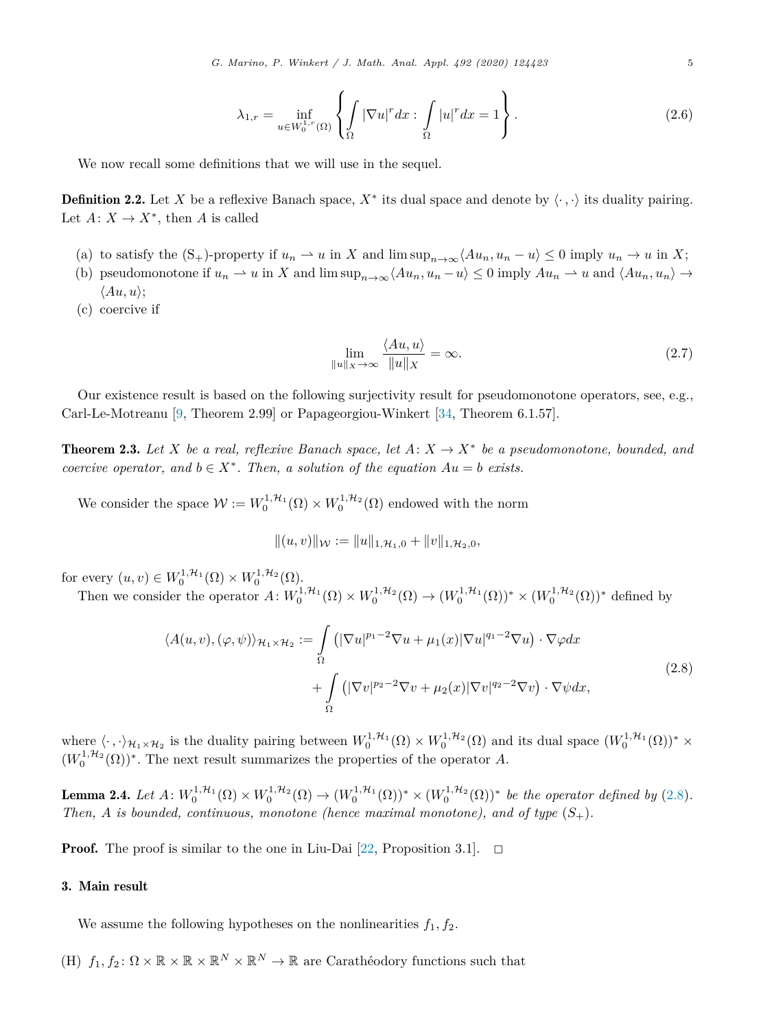$$
\lambda_{1,r} = \inf_{u \in W_0^{1,r}(\Omega)} \left\{ \int_{\Omega} |\nabla u|^r dx : \int_{\Omega} |u|^r dx = 1 \right\}.
$$
\n(2.6)

<span id="page-4-0"></span>We now recall some definitions that we will use in the sequel.

**Definition 2.2.** Let X be a reflexive Banach space,  $X^*$  its dual space and denote by  $\langle \cdot, \cdot \rangle$  its duality pairing. Let  $A: X \to X^*$ , then *A* is called

- (a) to satisfy the  $(S_+)$ -property if  $u_n \rightharpoonup u$  in X and lim  $\sup_{n\to\infty} \langle Au_n, u_n u \rangle \leq 0$  imply  $u_n \to u$  in X;
- (b) pseudomonotone if  $u_n \rightharpoonup u$  in X and  $\limsup_{n \to \infty} \langle Au_n, u_n u \rangle \leq 0$  imply  $Au_n \rightharpoonup u$  and  $\langle Au_n, u_n \rangle \rightarrow$  $\langle Au, u \rangle$ ;
- (c) coercive if

$$
\lim_{\|u\|_{X}\to\infty} \frac{\langle Au, u\rangle}{\|u\|_{X}} = \infty.
$$
\n(2.7)

Our existence result is based on the following surjectivity result for pseudomonotone operators, see, e.g., Carl-Le-Motreanu [\[9,](#page-11-0) Theorem 2.99] or Papageorgiou-Winkert [\[34](#page-12-0), Theorem 6.1.57].

**Theorem 2.3.** Let X be a real, reflexive Banach space, let  $A: X \to X^*$  be a pseudomonotone, bounded, and *coercive operator,* and  $b \in X^*$ *. Then,* a *solution of* the *equation*  $Au = b$  *exists.* 

We consider the space  $W := W_0^{1, \mathcal{H}_1}(\Omega) \times W_0^{1, \mathcal{H}_2}(\Omega)$  endowed with the norm

$$
|| (u, v) ||_{\mathcal{W}} := ||u||_{1, \mathcal{H}_1, 0} + ||v||_{1, \mathcal{H}_2, 0},
$$

for every  $(u, v) \in W_0^{1, \mathcal{H}_1}(\Omega) \times W_0^{1, \mathcal{H}_2}(\Omega)$ .

Then we consider the operator  $A: W_0^{1, H_1}(\Omega) \times W_0^{1, H_2}(\Omega) \to (W_0^{1, H_1}(\Omega))^* \times (W_0^{1, H_2}(\Omega))^*$  defined by

$$
\langle A(u,v), (\varphi, \psi) \rangle_{\mathcal{H}_1 \times \mathcal{H}_2} := \int_{\Omega} \left( |\nabla u|^{p_1 - 2} \nabla u + \mu_1(x) |\nabla u|^{q_1 - 2} \nabla u \right) \cdot \nabla \varphi dx
$$
  
+ 
$$
\int_{\Omega} \left( |\nabla v|^{p_2 - 2} \nabla v + \mu_2(x) |\nabla v|^{q_2 - 2} \nabla v \right) \cdot \nabla \psi dx,
$$
 (2.8)

where  $\langle \cdot, \cdot \rangle_{\mathcal{H}_1 \times \mathcal{H}_2}$  is the duality pairing between  $W_0^{1, \mathcal{H}_1}(\Omega) \times W_0^{1, \mathcal{H}_2}(\Omega)$  and its dual space  $(W_0^{1, \mathcal{H}_1}(\Omega))^* \times$  $(W_0^{1,\mathcal{H}_2}(\Omega))^*$ . The next result summarizes the properties of the operator *A*.

**Lemma 2.4.** Let  $A: W_0^{1, H_1}(\Omega) \times W_0^{1, H_2}(\Omega) \to (W_0^{1, H_1}(\Omega))^* \times (W_0^{1, H_2}(\Omega))^*$  be the operator defined by (2.8). *Then, A is bounded, continuous, monotone (hence maximal monotone), and of type* (*S*+)*.*

**Proof.** The proof is similar to the one in Liu-Dai [\[22,](#page-12-0) Proposition 3.1].  $\Box$ 

### 3. Main result

We assume the following hypotheses on the nonlinearities  $f_1, f_2$ .

(H)  $f_1, f_2: \Omega \times \mathbb{R} \times \mathbb{R} \times \mathbb{R}^N \times \mathbb{R}^N \to \mathbb{R}$  are Carathéodory functions such that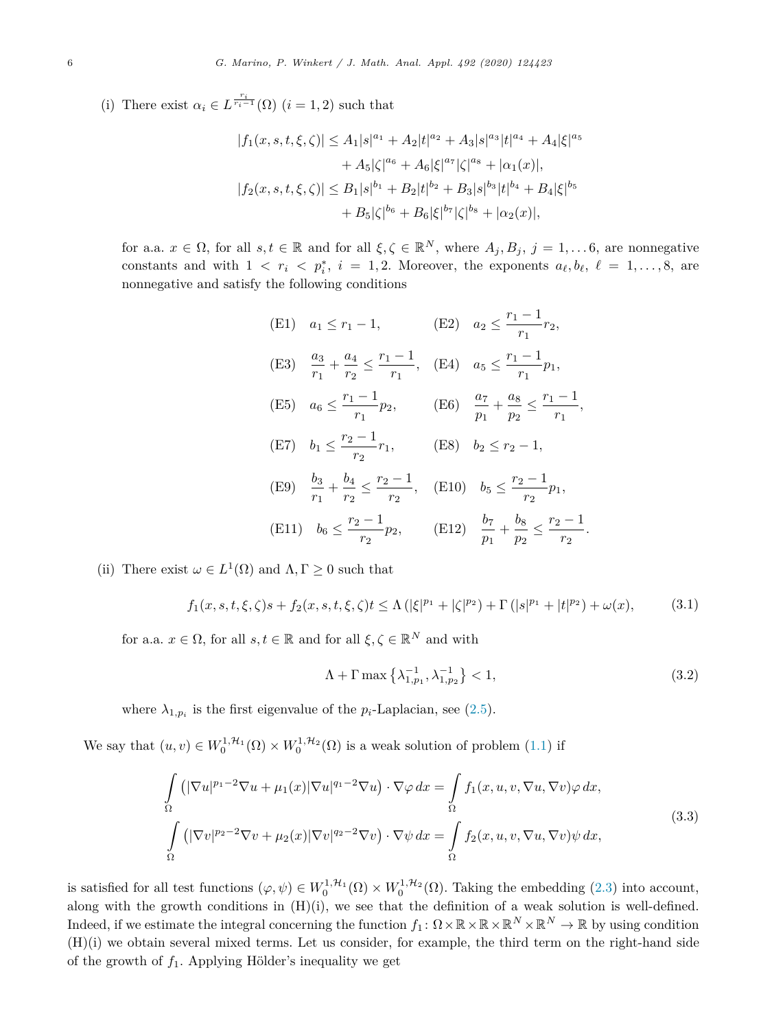<span id="page-5-0"></span>(i) There exist  $\alpha_i \in L^{\frac{r_i}{r_i-1}}(\Omega)$  (*i* = 1, 2) such that

$$
|f_1(x, s, t, \xi, \zeta)| \le A_1 |s|^{a_1} + A_2 |t|^{a_2} + A_3 |s|^{a_3} |t|^{a_4} + A_4 |\xi|^{a_5}
$$
  
+  $A_5 |\zeta|^{a_6} + A_6 |\xi|^{a_7} |\zeta|^{a_8} + |\alpha_1(x)|,$   
 $|f_2(x, s, t, \xi, \zeta)| \le B_1 |s|^{b_1} + B_2 |t|^{b_2} + B_3 |s|^{b_3} |t|^{b_4} + B_4 |\xi|^{b_5}$   
+  $B_5 |\zeta|^{b_6} + B_6 |\xi|^{b_7} |\zeta|^{b_8} + |\alpha_2(x)|,$ 

for a.a.  $x \in \Omega$ , for all  $s, t \in \mathbb{R}$  and for all  $\xi, \zeta \in \mathbb{R}^N$ , where  $A_j, B_j, j = 1, \ldots 6$ , are nonnegative constants and with  $1 \lt r_i \lt p_i^*$ ,  $i = 1, 2$ . Moreover, the exponents  $a_\ell, b_\ell, \ell = 1, \ldots, 8$ , are nonnegative and satisfy the following conditions

(E1) 
$$
a_1 \le r_1 - 1
$$
,   
\n(E2)  $a_2 \le \frac{r_1 - 1}{r_1} r_2$ ,  
\n(E3)  $\frac{a_3}{r_1} + \frac{a_4}{r_2} \le \frac{r_1 - 1}{r_1}$ ,   
\n(E4)  $a_5 \le \frac{r_1 - 1}{r_1} p_1$ ,  
\n(E5)  $a_6 \le \frac{r_1 - 1}{r_1} p_2$ ,   
\n(E6)  $\frac{a_7}{p_1} + \frac{a_8}{p_2} \le \frac{r_1 - 1}{r_1}$ ,  
\n(E7)  $b_1 \le \frac{r_2 - 1}{r_2} r_1$ ,   
\n(E8)  $b_2 \le r_2 - 1$ ,  
\n(E9)  $\frac{b_3}{r_1} + \frac{b_4}{r_2} \le \frac{r_2 - 1}{r_2}$ ,   
\n(E10)  $b_5 \le \frac{r_2 - 1}{r_2} p_1$ ,  
\n(E11)  $b_6 \le \frac{r_2 - 1}{r_2} p_2$ ,   
\n(E12)  $\frac{b_7}{p_1} + \frac{b_8}{p_2} \le \frac{r_2 - 1}{r_2}$ .

(ii) There exist  $\omega \in L^1(\Omega)$  and  $\Lambda, \Gamma \geq 0$  such that

$$
f_1(x, s, t, \xi, \zeta)s + f_2(x, s, t, \xi, \zeta)t \le \Lambda \left( |\xi|^{p_1} + |\zeta|^{p_2} \right) + \Gamma \left( |s|^{p_1} + |t|^{p_2} \right) + \omega(x), \tag{3.1}
$$

for a.a.  $x \in \Omega$ , for all  $s, t \in \mathbb{R}$  and for all  $\xi, \zeta \in \mathbb{R}^N$  and with

$$
\Lambda + \Gamma \max \left\{ \lambda_{1, p_1}^{-1}, \lambda_{1, p_2}^{-1} \right\} < 1,\tag{3.2}
$$

where  $\lambda_{1,p_i}$  is the first eigenvalue of the  $p_i$ -Laplacian, see [\(2.5](#page-3-0)).

We say that  $(u, v) \in W_0^{1, H_1}(\Omega) \times W_0^{1, H_2}(\Omega)$  is a weak solution of problem [\(1.1](#page-0-0)) if

$$
\int_{\Omega} \left( |\nabla u|^{p_1 - 2} \nabla u + \mu_1(x) |\nabla u|^{q_1 - 2} \nabla u \right) \cdot \nabla \varphi \, dx = \int_{\Omega} f_1(x, u, v, \nabla u, \nabla v) \varphi \, dx,
$$
\n
$$
\int_{\Omega} \left( |\nabla v|^{p_2 - 2} \nabla v + \mu_2(x) |\nabla v|^{q_2 - 2} \nabla v \right) \cdot \nabla \psi \, dx = \int_{\Omega} f_2(x, u, v, \nabla u, \nabla v) \psi \, dx,
$$
\n(3.3)

is satisfied for all test functions  $(\varphi, \psi) \in W_0^{1, H_1}(\Omega) \times W_0^{1, H_2}(\Omega)$ . Taking the embedding ([2.3](#page-3-0)) into account, along with the growth conditions in  $(H)(i)$ , we see that the definition of a weak solution is well-defined. Indeed, if we estimate the integral concerning the function  $f_1: \Omega \times \mathbb{R} \times \mathbb{R} \times \mathbb{R}^N \times \mathbb{R}^N \to \mathbb{R}$  by using condition (H)(i) we obtain several mixed terms. Let us consider, for example, the third term on the right-hand side of the growth of *f*1. Applying Hölder's inequality we get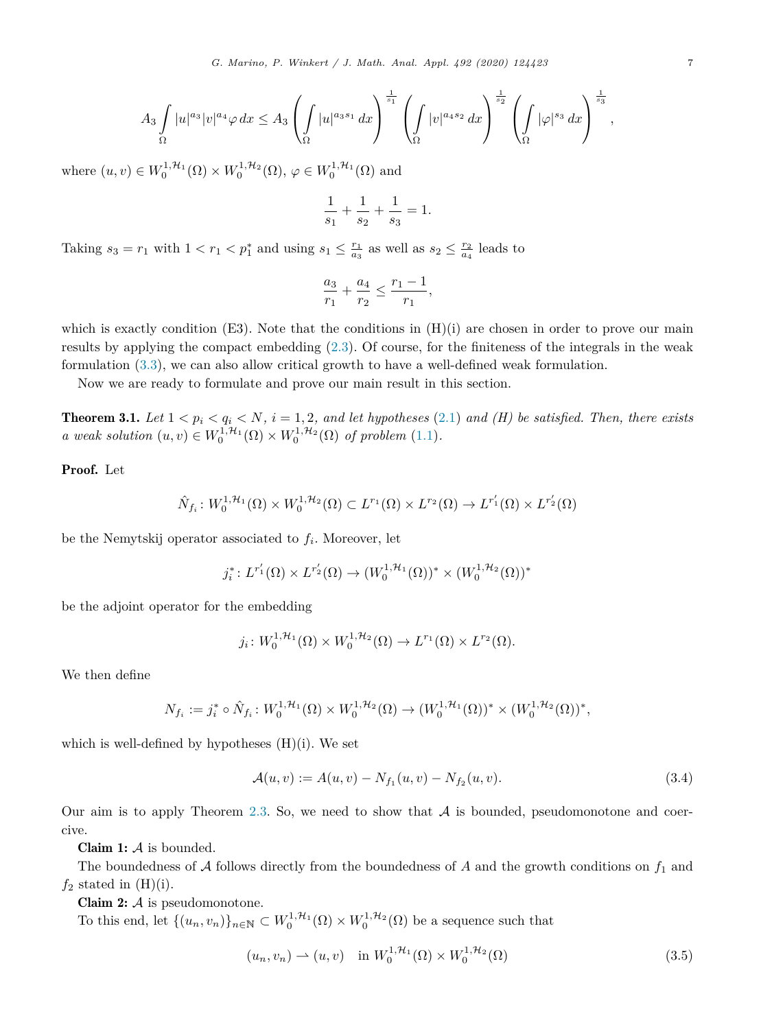<span id="page-6-0"></span>
$$
A_3 \int_{\Omega} |u|^{a_3} |v|^{a_4} \varphi \, dx \le A_3 \left( \int_{\Omega} |u|^{a_3 s_1} dx \right)^{\frac{1}{s_1}} \left( \int_{\Omega} |v|^{a_4 s_2} dx \right)^{\frac{1}{s_2}} \left( \int_{\Omega} |\varphi|^{s_3} dx \right)^{\frac{1}{s_3}},
$$

where  $(u, v) \in W_0^{1, H_1}(\Omega) \times W_0^{1, H_2}(\Omega)$ ,  $\varphi \in W_0^{1, H_1}(\Omega)$  and

$$
\frac{1}{s_1} + \frac{1}{s_2} + \frac{1}{s_3} = 1.
$$

Taking  $s_3 = r_1$  with  $1 < r_1 < p_1^*$  and using  $s_1 \leq \frac{r_1}{a_3}$  as well as  $s_2 \leq \frac{r_2}{a_4}$  leads to

$$
\frac{a_3}{r_1} + \frac{a_4}{r_2} \le \frac{r_1 - 1}{r_1},
$$

which is exactly condition  $(E3)$ . Note that the conditions in  $(H)(i)$  are chosen in order to prove our main results by applying the compact embedding ([2.3\)](#page-3-0). Of course, for the finiteness of the integrals in the weak formulation ([3.3](#page-5-0)), we can also allow critical growth to have a well-defined weak formulation.

Now we are ready to formulate and prove our main result in this section.

**Theorem 3.1.** Let  $1 < p_i < q_i < N$ ,  $i = 1, 2$ , and let hypotheses [\(2.1\)](#page-2-0) and (H) be satisfied. Then, there exists *a weak solution*  $(u, v) \in W_0^{1, H_1}(\Omega) \times W_0^{1, H_2}(\Omega)$  *of problem* [\(1.1](#page-0-0))*.* 

## Proof. Let

$$
\hat{N}_{f_i}: W_0^{1,\mathcal{H}_1}(\Omega) \times W_0^{1,\mathcal{H}_2}(\Omega) \subset L^{r_1}(\Omega) \times L^{r_2}(\Omega) \to L^{r'_1}(\Omega) \times L^{r'_2}(\Omega)
$$

be the Nemytskij operator associated to *fi*. Moreover, let

$$
j_i^*: L^{r'_1}(\Omega) \times L^{r'_2}(\Omega) \to (W_0^{1, \mathcal{H}_1}(\Omega))^* \times (W_0^{1, \mathcal{H}_2}(\Omega))^*
$$

be the adjoint operator for the embedding

$$
j_i\colon W_0^{1,\mathcal{H}_1}(\Omega)\times W_0^{1,\mathcal{H}_2}(\Omega)\to L^{r_1}(\Omega)\times L^{r_2}(\Omega).
$$

We then define

$$
N_{f_i} := j_i^* \circ \hat{N}_{f_i} : W_0^{1, \mathcal{H}_1}(\Omega) \times W_0^{1, \mathcal{H}_2}(\Omega) \to (W_0^{1, \mathcal{H}_1}(\Omega))^* \times (W_0^{1, \mathcal{H}_2}(\Omega))^*,
$$

which is well-defined by hypotheses  $(H)(i)$ . We set

$$
\mathcal{A}(u,v) := A(u,v) - N_{f_1}(u,v) - N_{f_2}(u,v). \tag{3.4}
$$

Our aim is to apply Theorem [2.3](#page-4-0). So, we need to show that  $A$  is bounded, pseudomonotone and coercive.

**Claim 1:**  $\mathcal A$  is bounded.

The boundedness of  $A$  follows directly from the boundedness of  $A$  and the growth conditions on  $f_1$  and  $f_2$  stated in  $(H)(i)$ .

Claim  $2: A$  is pseudomonotone.

To this end, let  $\{(u_n, v_n)\}_{n \in \mathbb{N}} \subset W_0^{1, H_1}(\Omega) \times W_0^{1, H_2}(\Omega)$  be a sequence such that

$$
(u_n, v_n) \rightharpoonup (u, v) \quad \text{in } W_0^{1, \mathcal{H}_1}(\Omega) \times W_0^{1, \mathcal{H}_2}(\Omega) \tag{3.5}
$$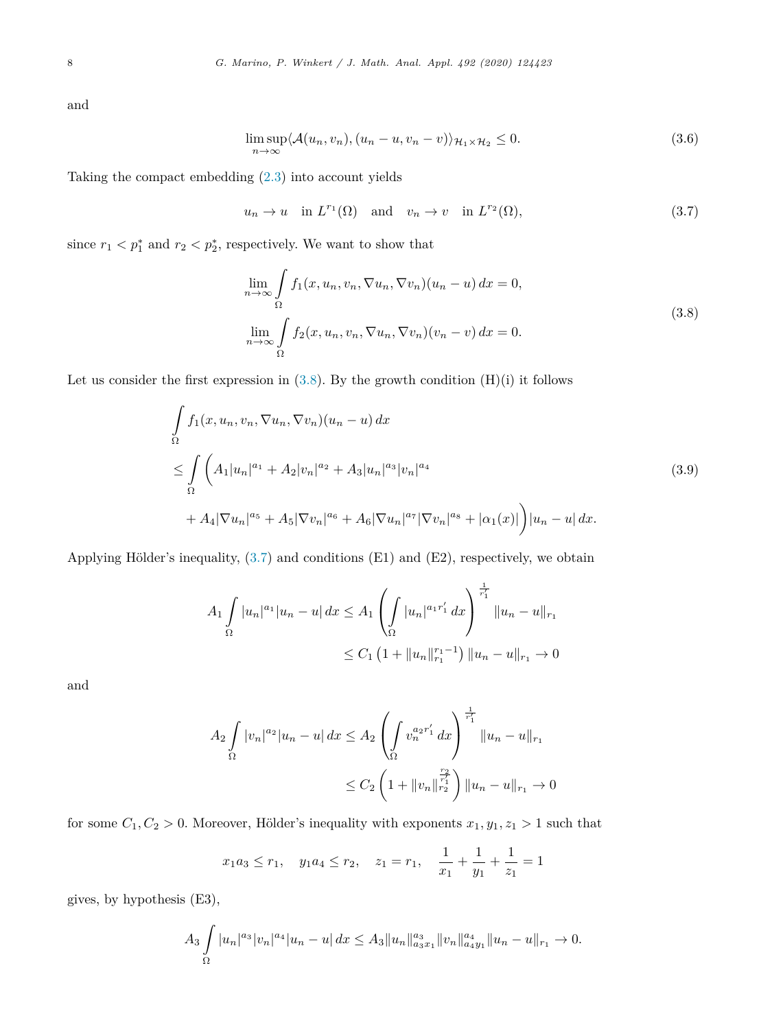<span id="page-7-0"></span>and

$$
\limsup_{n \to \infty} \langle A(u_n, v_n), (u_n - u, v_n - v) \rangle_{\mathcal{H}_1 \times \mathcal{H}_2} \le 0.
$$
\n(3.6)

Taking the compact embedding [\(2.3\)](#page-3-0) into account yields

 $u_n \to u$  in  $L^{r_1}(\Omega)$  and  $v_n \to v$  in  $L^{r_2}(\Omega)$ , (3.7)

since  $r_1 < p_1^*$  and  $r_2 < p_2^*$ , respectively. We want to show that

$$
\lim_{n \to \infty} \int_{\Omega} f_1(x, u_n, v_n, \nabla u_n, \nabla v_n)(u_n - u) dx = 0,
$$
\n
$$
\lim_{n \to \infty} \int_{\Omega} f_2(x, u_n, v_n, \nabla u_n, \nabla v_n)(v_n - v) dx = 0.
$$
\n(3.8)

Let us consider the first expression in  $(3.8)$ . By the growth condition  $(H)(i)$  it follows

$$
\int_{\Omega} f_1(x, u_n, v_n, \nabla u_n, \nabla v_n)(u_n - u) dx
$$
\n
$$
\leq \int_{\Omega} \left( A_1 |u_n|^{a_1} + A_2 |v_n|^{a_2} + A_3 |u_n|^{a_3} |v_n|^{a_4} \right)
$$
\n
$$
+ A_4 |\nabla u_n|^{a_5} + A_5 |\nabla v_n|^{a_6} + A_6 |\nabla u_n|^{a_7} |\nabla v_n|^{a_8} + |\alpha_1(x)| \right) |u_n - u| dx.
$$
\n(3.9)

Applying Hölder's inequality,  $(3.7)$  and conditions  $(E1)$  and  $(E2)$ , respectively, we obtain

$$
A_1 \int_{\Omega} |u_n|^{a_1} |u_n - u| dx \le A_1 \left( \int_{\Omega} |u_n|^{a_1 r'_1} dx \right)^{\frac{1}{r'_1}} \|u_n - u\|_{r_1}
$$
  

$$
\le C_1 \left( 1 + \|u_n\|_{r_1}^{r_1 - 1} \right) \|u_n - u\|_{r_1} \to 0
$$

and

$$
A_2 \int_{\Omega} |v_n|^{a_2} |u_n - u| dx \le A_2 \left( \int_{\Omega} v_n^{a_2 r'_1} dx \right)^{\frac{1}{r'_1}} \|u_n - u\|_{r_1}
$$
  

$$
\le C_2 \left( 1 + \|v_n\|_{r_2}^{\frac{r_2}{r'_1}} \right) \|u_n - u\|_{r_1} \to 0
$$

for some  $C_1, C_2 > 0$ . Moreover, Hölder's inequality with exponents  $x_1, y_1, z_1 > 1$  such that

$$
x_1 a_3 \le r_1
$$
,  $y_1 a_4 \le r_2$ ,  $z_1 = r_1$ ,  $\frac{1}{x_1} + \frac{1}{y_1} + \frac{1}{z_1} = 1$ 

gives, by hypothesis (E3),

$$
A_3 \int_{\Omega} |u_n|^{a_3} |v_n|^{a_4} |u_n - u| \, dx \le A_3 \|u_n\|_{a_3x_1}^{a_3} \|v_n\|_{a_4y_1}^{a_4} \|u_n - u\|_{r_1} \to 0.
$$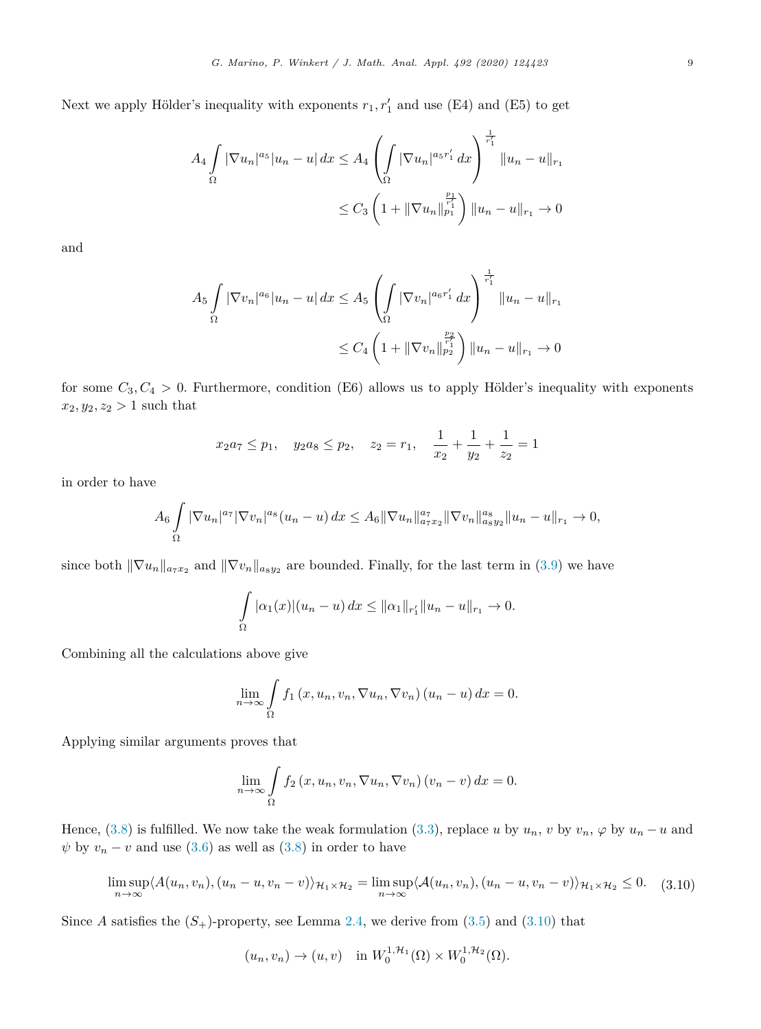Next we apply Hölder's inequality with exponents  $r_1, r'_1$  and use (E4) and (E5) to get

$$
A_4 \int_{\Omega} |\nabla u_n|^{a_5} |u_n - u| dx \le A_4 \left( \int_{\Omega} |\nabla u_n|^{a_5 r'_1} dx \right)^{\frac{1}{r'_1}} \|u_n - u\|_{r_1}
$$
  

$$
\le C_3 \left( 1 + \|\nabla u_n\|_{p_1}^{\frac{p_1}{r'_1}} \right) \|u_n - u\|_{r_1} \to 0
$$

and

$$
A_5 \int_{\Omega} |\nabla v_n|^{a_6} |u_n - u| dx \le A_5 \left( \int_{\Omega} |\nabla v_n|^{a_6 r'_1} dx \right)^{\frac{1}{r'_1}} \|u_n - u\|_{r_1}
$$
  

$$
\le C_4 \left( 1 + \|\nabla v_n\|_{p_2}^{\frac{p_2}{r'_1}} \right) \|u_n - u\|_{r_1} \to 0
$$

for some  $C_3, C_4 > 0$ . Furthermore, condition (E6) allows us to apply Hölder's inequality with exponents  $x_2, y_2, z_2 > 1$  such that

$$
x_2a_7 \leq p_1
$$
,  $y_2a_8 \leq p_2$ ,  $z_2 = r_1$ ,  $\frac{1}{x_2} + \frac{1}{y_2} + \frac{1}{z_2} = 1$ 

in order to have

$$
A_6 \int_{\Omega} |\nabla u_n|^{a_7} |\nabla v_n|^{a_8} (u_n - u) \, dx \leq A_6 \|\nabla u_n\|_{a_7 x_2}^{a_7} \|\nabla v_n\|_{a_8 y_2}^{a_8} \|u_n - u\|_{r_1} \to 0,
$$

since both  $\|\nabla u_n\|_{a_7x_2}$  and  $\|\nabla v_n\|_{a_8y_2}$  are bounded. Finally, for the last term in [\(3.9](#page-7-0)) we have

$$
\int_{\Omega} |\alpha_1(x)| (u_n - u) dx \le ||\alpha_1||_{r_1'} ||u_n - u||_{r_1} \to 0.
$$

Combining all the calculations above give

$$
\lim_{n \to \infty} \int_{\Omega} f_1(x, u_n, v_n, \nabla u_n, \nabla v_n) (u_n - u) dx = 0.
$$

Applying similar arguments proves that

$$
\lim_{n \to \infty} \int_{\Omega} f_2(x, u_n, v_n, \nabla u_n, \nabla v_n) (v_n - v) dx = 0.
$$

Hence, [\(3.8\)](#page-7-0) is fulfilled. We now take the weak formulation [\(3.3\)](#page-5-0), replace *u* by  $u_n$ , *v* by  $v_n$ ,  $\varphi$  by  $u_n - u$  and  $\psi$  by  $v_n - v$  and use ([3.6](#page-7-0)) as well as [\(3.8](#page-7-0)) in order to have

$$
\limsup_{n \to \infty} \langle A(u_n, v_n), (u_n - u, v_n - v) \rangle_{\mathcal{H}_1 \times \mathcal{H}_2} = \limsup_{n \to \infty} \langle A(u_n, v_n), (u_n - u, v_n - v) \rangle_{\mathcal{H}_1 \times \mathcal{H}_2} \le 0.
$$
 (3.10)

Since *A* satisfies the  $(S<sub>+</sub>)$ -property, see Lemma [2.4](#page-4-0), we derive from  $(3.5)$  and  $(3.10)$  that

$$
(u_n, v_n) \to (u, v) \quad \text{in } W_0^{1, \mathcal{H}_1}(\Omega) \times W_0^{1, \mathcal{H}_2}(\Omega).
$$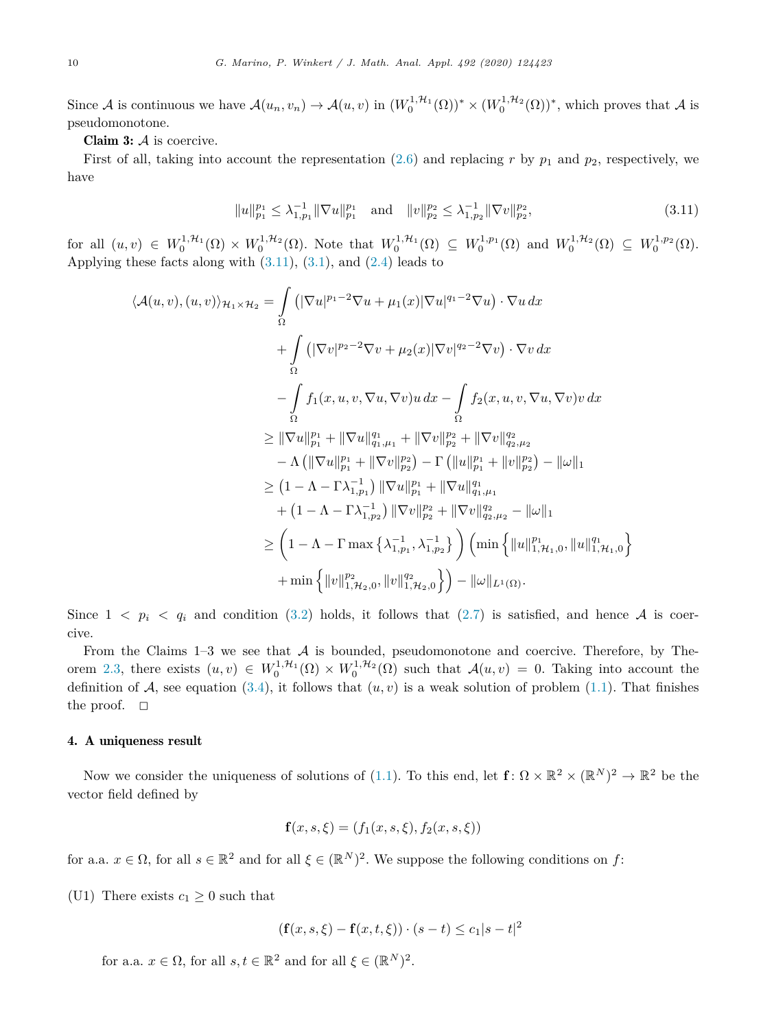<span id="page-9-0"></span>Since A is continuous we have  $\mathcal{A}(u_n, v_n) \to \mathcal{A}(u, v)$  in  $(W_0^{1, \mathcal{H}_1}(\Omega))^* \times (W_0^{1, \mathcal{H}_2}(\Omega))^*$ , which proves that A is pseudomonotone.

Claim  $3: A$  is coercive.

First of all, taking into account the representation  $(2.6)$  $(2.6)$  $(2.6)$  and replacing r by  $p_1$  and  $p_2$ , respectively, we have

$$
||u||_{p_1}^{p_1} \leq \lambda_{1,p_1}^{-1} ||\nabla u||_{p_1}^{p_1} \quad \text{and} \quad ||v||_{p_2}^{p_2} \leq \lambda_{1,p_2}^{-1} ||\nabla v||_{p_2}^{p_2},\tag{3.11}
$$

 $\text{for all } (u, v) \in W_0^{1, \mathcal{H}_1}(\Omega) \times W_0^{1, \mathcal{H}_2}(\Omega)$ . Note that  $W_0^{1, \mathcal{H}_1}(\Omega) \subseteq W_0^{1, p_1}(\Omega)$  and  $W_0^{1, \mathcal{H}_2}(\Omega) \subseteq W_0^{1, p_2}(\Omega)$ . Applying these facts along with  $(3.11)$ ,  $(3.1)$  $(3.1)$ , and  $(2.4)$  $(2.4)$  leads to

$$
\langle A(u, v), (u, v) \rangle_{\mathcal{H}_1 \times \mathcal{H}_2} = \int_{\Omega} \left( |\nabla u|^{p_1 - 2} \nabla u + \mu_1(x) |\nabla u|^{q_1 - 2} \nabla u \right) \cdot \nabla u \, dx \n+ \int_{\Omega} \left( |\nabla v|^{p_2 - 2} \nabla v + \mu_2(x) |\nabla v|^{q_2 - 2} \nabla v \right) \cdot \nabla v \, dx \n- \int_{\Omega} f_1(x, u, v, \nabla u, \nabla v) u \, dx - \int_{\Omega} f_2(x, u, v, \nabla u, \nabla v) v \, dx \n\geq ||\nabla u||_{p_1}^{p_1} + ||\nabla u||_{q_1, \mu_1}^{q_1} + ||\nabla v||_{p_2}^{p_2} + ||\nabla v||_{q_2, \mu_2}^{q_2} \n- \Lambda \left( ||\nabla u||_{p_1}^{p_1} + ||\nabla v||_{p_2}^{p_2} \right) - \Gamma \left( ||u||_{p_1}^{p_1} + ||v||_{p_2}^{p_2} \right) - ||\omega||_1 \n\geq (1 - \Lambda - \Gamma \lambda_{1, p_1}^{-1}) ||\nabla u||_{p_1}^{p_1} + ||\nabla u||_{q_1, \mu_1}^{q_1} \n+ (1 - \Lambda - \Gamma \lambda_{1, p_2}^{-1}) ||\nabla v||_{p_2}^{p_2} + ||\nabla v||_{q_2, \mu_2}^{q_2} - ||\omega||_1 \n\geq \left( 1 - \Lambda - \Gamma \max \left\{ \lambda_{1, p_1}^{-1}, \lambda_{1, p_2}^{-1} \right\} \right) \left( \min \left\{ ||u||_{1, \mathcal{H}_1, 0}^{p_1}, ||u||_{1, \mathcal{H}_1, 0}^{q_1} \right\} \right. \n+ \min \left\{ ||v||_{1, \mathcal{H}_2, 0}^{p_2}, ||v||_{1, \mathcal{H}_2, 0}^{q_2} \right\} \right) - ||\omega||_{L^1(\Omega)}.
$$

Since  $1 \leq p_i \leq q_i$  and condition ([3.2\)](#page-5-0) holds, it follows that ([2.7\)](#page-4-0) is satisfied, and hence A is coercive.

From the Claims  $1-3$  we see that  $A$  is bounded, pseudomonotone and coercive. Therefore, by The-orem [2.3](#page-4-0), there exists  $(u, v) \in W_0^{1, H_1}(\Omega) \times W_0^{1, H_2}(\Omega)$  such that  $\mathcal{A}(u, v) = 0$ . Taking into account the definition of  $A$ , see equation ([3.4\)](#page-6-0), it follows that  $(u, v)$  is a weak solution of problem [\(1.1\)](#page-0-0). That finishes the proof.  $\Box$ 

## 4. A uniqueness result

Now we consider the uniqueness of solutions of [\(1.1](#page-0-0)). To this end, let  $f: \Omega \times \mathbb{R}^2 \times (\mathbb{R}^N)^2 \to \mathbb{R}^2$  be the vector field defined by

$$
\mathbf{f}(x, s, \xi) = (f_1(x, s, \xi), f_2(x, s, \xi))
$$

for a.a.  $x \in \Omega$ , for all  $s \in \mathbb{R}^2$  and for all  $\xi \in (\mathbb{R}^N)^2$ . We suppose the following conditions on f:

(U1) There exists  $c_1 \geq 0$  such that

$$
(f(x, s, \xi) - f(x, t, \xi)) \cdot (s - t) \leq c_1 |s - t|^2
$$

for a.a.  $x \in \Omega$ , for all  $s, t \in \mathbb{R}^2$  and for all  $\xi \in (\mathbb{R}^N)^2$ .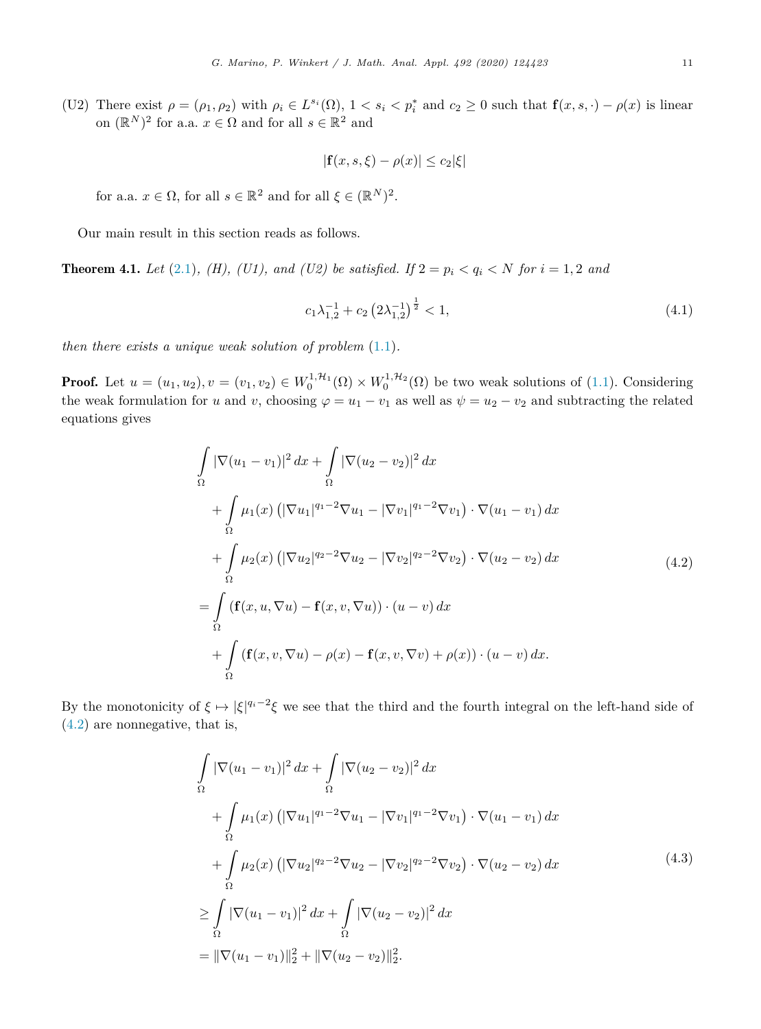$$
|\mathbf{f}(x,s,\xi)-\rho(x)|\leq c_2|\xi|
$$

<span id="page-10-0"></span>for a.a.  $x \in \Omega$ , for all  $s \in \mathbb{R}^2$  and for all  $\xi \in (\mathbb{R}^N)^2$ .

Our main result in this section reads as follows.

**Theorem 4.1.** *Let* ([2.1\)](#page-2-0)*, (H), (U1),* and *(U2) be satisfied. If*  $2 = p_i < q_i < N$  *for*  $i = 1, 2$  *and* 

$$
c_1 \lambda_{1,2}^{-1} + c_2 \left(2\lambda_{1,2}^{-1}\right)^{\frac{1}{2}} < 1,\tag{4.1}
$$

*then there exists a unique weak solution of problem* [\(1.1](#page-0-0))*.*

**Proof.** Let  $u = (u_1, u_2), v = (v_1, v_2) \in W_0^{1, H_1}(\Omega) \times W_0^{1, H_2}(\Omega)$  be two weak solutions of [\(1.1](#page-0-0)). Considering the weak formulation for *u* and *v*, choosing  $\varphi = u_1 - v_1$  as well as  $\psi = u_2 - v_2$  and subtracting the related equations gives

$$
\int_{\Omega} |\nabla (u_1 - v_1)|^2 dx + \int_{\Omega} |\nabla (u_2 - v_2)|^2 dx \n+ \int_{\Omega} \mu_1(x) (|\nabla u_1|^{q_1 - 2} \nabla u_1 - |\nabla v_1|^{q_1 - 2} \nabla v_1) \cdot \nabla (u_1 - v_1) dx \n+ \int_{\Omega} \mu_2(x) (|\nabla u_2|^{q_2 - 2} \nabla u_2 - |\nabla v_2|^{q_2 - 2} \nabla v_2) \cdot \nabla (u_2 - v_2) dx \n= \int_{\Omega} (\mathbf{f}(x, u, \nabla u) - \mathbf{f}(x, v, \nabla u)) \cdot (u - v) dx \n+ \int_{\Omega} (\mathbf{f}(x, v, \nabla u) - \rho(x) - \mathbf{f}(x, v, \nabla v) + \rho(x)) \cdot (u - v) dx.
$$
\n(4.2)

By the monotonicity of  $\xi \mapsto |\xi|^{q_i-2}\xi$  we see that the third and the fourth integral on the left-hand side of (4.2) are nonnegative, that is,

$$
\int_{\Omega} |\nabla (u_1 - v_1)|^2 dx + \int_{\Omega} |\nabla (u_2 - v_2)|^2 dx
$$
\n
$$
+ \int_{\Omega} \mu_1(x) (|\nabla u_1|^{q_1 - 2} \nabla u_1 - |\nabla v_1|^{q_1 - 2} \nabla v_1) \cdot \nabla (u_1 - v_1) dx
$$
\n
$$
+ \int_{\Omega} \mu_2(x) (|\nabla u_2|^{q_2 - 2} \nabla u_2 - |\nabla v_2|^{q_2 - 2} \nabla v_2) \cdot \nabla (u_2 - v_2) dx
$$
\n
$$
\geq \int_{\Omega} |\nabla (u_1 - v_1)|^2 dx + \int_{\Omega} |\nabla (u_2 - v_2)|^2 dx
$$
\n
$$
= ||\nabla (u_1 - v_1)||_2^2 + ||\nabla (u_2 - v_2)||_2^2.
$$
\n(4.3)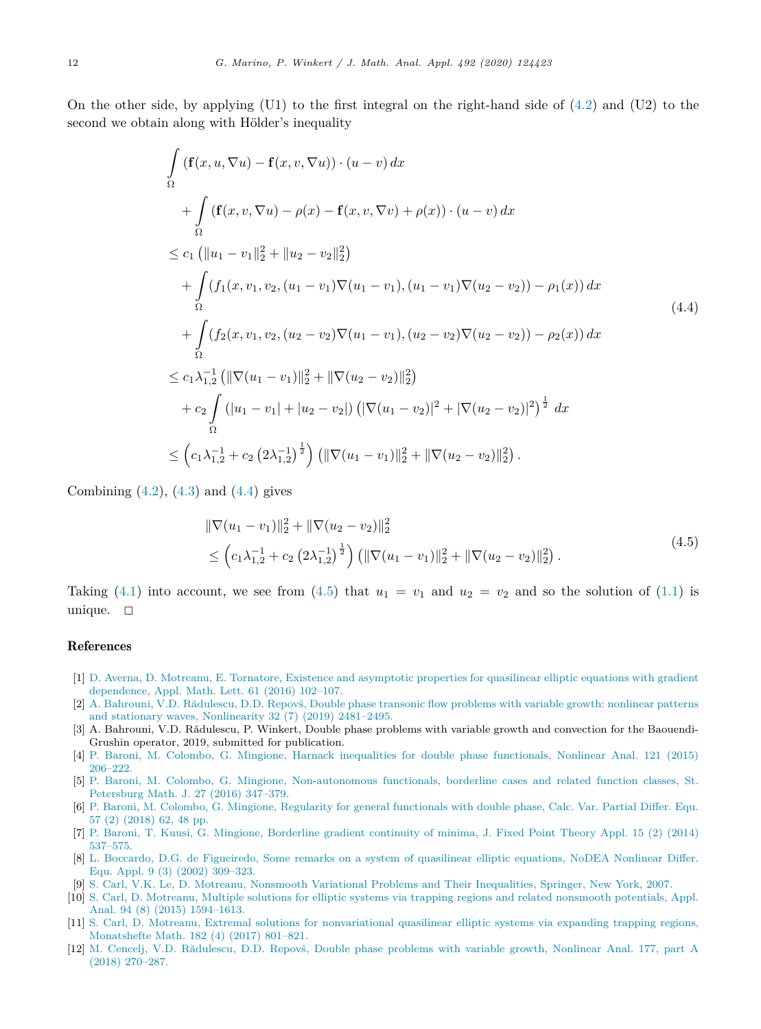<span id="page-11-0"></span>On the other side, by applying  $(U1)$  to the first integral on the right-hand side of  $(4.2)$  $(4.2)$  and  $(U2)$  to the second we obtain along with Hölder's inequality

$$
\int_{\Omega} (\mathbf{f}(x, u, \nabla u) - \mathbf{f}(x, v, \nabla u)) \cdot (u - v) dx \n+ \int_{\Omega} (\mathbf{f}(x, v, \nabla u) - \rho(x) - \mathbf{f}(x, v, \nabla v) + \rho(x)) \cdot (u - v) dx \n\leq c_1 (\|u_1 - v_1\|_2^2 + \|u_2 - v_2\|_2^2) \n+ \int_{\Omega} (f_1(x, v_1, v_2, (u_1 - v_1) \nabla (u_1 - v_1), (u_1 - v_1) \nabla (u_2 - v_2)) - \rho_1(x)) dx \n+ \int_{\Omega} (f_2(x, v_1, v_2, (u_2 - v_2) \nabla (u_1 - v_1), (u_2 - v_2) \nabla (u_2 - v_2)) - \rho_2(x)) dx \n\leq c_1 \lambda_{1,2}^{-1} (\|\nabla (u_1 - v_1)\|_2^2 + \|\nabla (u_2 - v_2)\|_2^2) \n+ c_2 \int_{\Omega} (|u_1 - v_1| + |u_2 - v_2|) (\|\nabla (u_1 - v_2)\|^2 + \|\nabla (u_2 - v_2)\|^2)^{\frac{1}{2}} dx \n\leq (c_1 \lambda_{1,2}^{-1} + c_2 (2 \lambda_{1,2}^{-1})^{\frac{1}{2}}) (\|\nabla (u_1 - v_1)\|_2^2 + \|\nabla (u_2 - v_2)\|_2^2).
$$
\n(4.4)

Combining  $(4.2)$  $(4.2)$ ,  $(4.3)$  $(4.3)$  and  $(4.4)$  gives

$$
\|\nabla(u_1 - v_1)\|_2^2 + \|\nabla(u_2 - v_2)\|_2^2
$$
  
\n
$$
\leq \left(c_1\lambda_{1,2}^{-1} + c_2\left(2\lambda_{1,2}^{-1}\right)^{\frac{1}{2}}\right) \left(\|\nabla(u_1 - v_1)\|_2^2 + \|\nabla(u_2 - v_2)\|_2^2\right). \tag{4.5}
$$

Taking [\(4.1](#page-10-0)) into account, we see from (4.5) that  $u_1 = v_1$  and  $u_2 = v_2$  and so the solution of [\(1.1](#page-0-0)) is unique.  $\Box$ 

#### References

- [1] D. Averna, D. Motreanu, E. Tornatore, Existence and [asymptotic](http://refhub.elsevier.com/S0022-247X(20)30585-0/bibECE61F1AD7F4E14CE331FE3FC39D59A1s1) properties for quasilinear elliptic equations with gradient [dependence,](http://refhub.elsevier.com/S0022-247X(20)30585-0/bibECE61F1AD7F4E14CE331FE3FC39D59A1s1) Appl. Math. Lett. 61 (2016) 102–107.
- [2] A. Bahrouni, V.D. [Rădulescu,](http://refhub.elsevier.com/S0022-247X(20)30585-0/bibA1F73E2C700372029EBE1731D09913CEs1) D.D. Repovš, Double phase transonic flow problems with variable growth: nonlinear patterns and stationary waves, [Nonlinearity](http://refhub.elsevier.com/S0022-247X(20)30585-0/bibA1F73E2C700372029EBE1731D09913CEs1) 32 (7) (2019) 2481–2495.
- [3] A. Bahrouni, V.D. Rădulescu, P. Winkert, Double phase problems with variable growth and convection for the Baouendi-Grushin operator, 2019, submitted for publication.
- [4] P. Baroni, M. Colombo, G. Mingione, Harnack inequalities for double phase [functionals,](http://refhub.elsevier.com/S0022-247X(20)30585-0/bib8B1C3E8D71D67FEBEFF684812E2710F3s1) Nonlinear Anal. 121 (2015) [206–222.](http://refhub.elsevier.com/S0022-247X(20)30585-0/bib8B1C3E8D71D67FEBEFF684812E2710F3s1)
- [5] P. Baroni, M. Colombo, G. Mingione, [Non-autonomous](http://refhub.elsevier.com/S0022-247X(20)30585-0/bib0C9DE131465BAB784B8F886F23E7CBF4s1) functionals, borderline cases and related function classes, St. [Petersburg](http://refhub.elsevier.com/S0022-247X(20)30585-0/bib0C9DE131465BAB784B8F886F23E7CBF4s1) Math. J. 27 (2016) 347–379.
- [6] P. Baroni, M. Colombo, G. Mingione, Regularity for general [functionals](http://refhub.elsevier.com/S0022-247X(20)30585-0/bibB24C49D8440ED993BC2B4769467DD68Es1) with double phase, Calc. Var. Partial Differ. Equ. 57 (2) [\(2018\)](http://refhub.elsevier.com/S0022-247X(20)30585-0/bibB24C49D8440ED993BC2B4769467DD68Es1) 62, 48 pp.
- [7] P. Baroni, T. Kuusi, G. Mingione, [Borderline](http://refhub.elsevier.com/S0022-247X(20)30585-0/bibCA002E22C4E3A517851DF18043E629C4s1) gradient continuity of minima, J. Fixed Point Theory Appl. 15 (2) (2014) [537–575.](http://refhub.elsevier.com/S0022-247X(20)30585-0/bibCA002E22C4E3A517851DF18043E629C4s1)
- [8] L. Boccardo, D.G. de [Figueiredo,](http://refhub.elsevier.com/S0022-247X(20)30585-0/bib54519A9E92E015DCBE6EAC219D892031s1) Some remarks on a system of quasilinear elliptic equations, NoDEA Nonlinear Differ. Equ. Appl. 9 (3) (2002) [309–323.](http://refhub.elsevier.com/S0022-247X(20)30585-0/bib54519A9E92E015DCBE6EAC219D892031s1)
- [9] S. Carl, V.K. Le, D. Motreanu, Nonsmooth Variational Problems and Their [Inequalities,](http://refhub.elsevier.com/S0022-247X(20)30585-0/bib1B9535D5118BA658B6F932B8CD041BE8s1) Springer, New York, 2007.
- [10] S. Carl, D. Motreanu, Multiple solutions for elliptic systems via trapping regions and related [nonsmooth](http://refhub.elsevier.com/S0022-247X(20)30585-0/bib65AE2B58F42F052B472271104B34FF0Fs1) potentials, Appl. Anal. 94 (8) (2015) [1594–1613.](http://refhub.elsevier.com/S0022-247X(20)30585-0/bib65AE2B58F42F052B472271104B34FF0Fs1)
- [11] S. Carl, D. Motreanu, Extremal solutions for [nonvariational](http://refhub.elsevier.com/S0022-247X(20)30585-0/bibE59F33AE71289A686D0A9A692E13212Es1) quasilinear elliptic systems via expanding trapping regions, [Monatshefte](http://refhub.elsevier.com/S0022-247X(20)30585-0/bibE59F33AE71289A686D0A9A692E13212Es1) Math. 182 (4) (2017) 801–821.
- [12] M. Cencelj, V.D. [Rădulescu,](http://refhub.elsevier.com/S0022-247X(20)30585-0/bibB7BF7C74EFFE518094BC77B373823076s1) D.D. Repovš, Double phase problems with variable growth, Nonlinear Anal. 177, part A (2018) [270–287.](http://refhub.elsevier.com/S0022-247X(20)30585-0/bibB7BF7C74EFFE518094BC77B373823076s1)